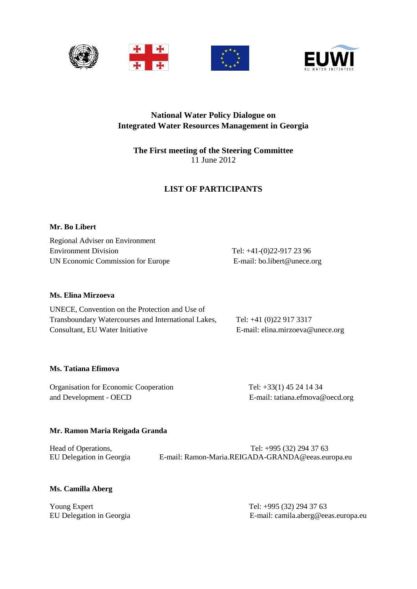



# **National Water Policy Dialogue on Integrated Water Resources Management in Georgia**

# **The First meeting of the Steering Committee** 11 June 2012

# **LIST OF PARTICIPANTS**

# **Mr. Bo Libert**

Regional Adviser on Environment Environment Division Tel: +41-(0)22-917 23 96 UN Economic Commission for Europe E-mail: bo.libert@unece.org

# **Ms. Elina Mirzoeva**

| UNECE, Convention on the Protection and Use of      |                                  |
|-----------------------------------------------------|----------------------------------|
| Transboundary Watercourses and International Lakes, | Tel: $+41(0)229173317$           |
| Consultant, EU Water Initiative                     | E-mail: elina.mirzoeva@unece.org |

# **Ms. Tatiana Efimova**

Organisation for Economic Cooperation Tel: +33(1) 45 24 14 34 and Development - OECD E-mail: [tatiana.efmova@oecd.org](mailto:tatiana.efmova@oecd.org)

# **Mr. Ramon Maria Reigada Granda**

| Head of Operations,      | Tel: $+995(32)$ 294 37 63                         |
|--------------------------|---------------------------------------------------|
| EU Delegation in Georgia | E-mail: Ramon-Maria.REIGADA-GRANDA@eeas.europa.eu |

# **Ms. Camilla Aberg**

Young Expert Tel: +995 (32) 294 37 63

EU Delegation in Georgia E-mail: [camila.aberg@eeas.europa.eu](mailto:camila.aberg@eeas.europa.eu)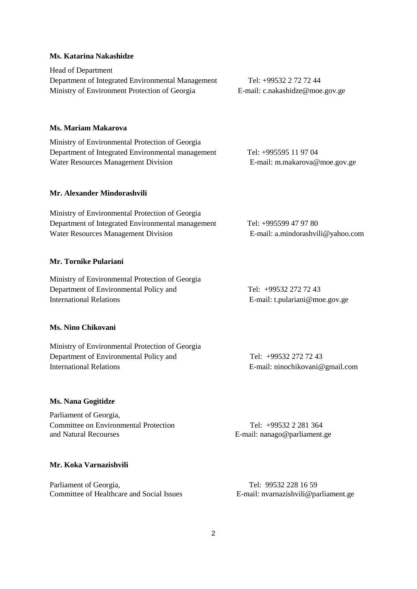### **Ms. Katarina Nakashidze**

Head of Department Department of Integrated Environmental Management Tel: +99532 2 72 72 44 Ministry of Environment Protection of Georgia E-mail: c.nakashidze@moe.gov.ge

### **Ms. Mariam Makarova**

Ministry of Environmental Protection of Georgia Department of Integrated Environmental management Tel: +995595 11 97 04 Water Resources Management Division **E-mail:** m.makarova@moe.gov.ge

### **Mr. Alexander Mindorashvili**

| Ministry of Environmental Protection of Georgia   |                                   |
|---------------------------------------------------|-----------------------------------|
| Department of Integrated Environmental management | Tel: +995599 47 97 80             |
| Water Resources Management Division               | E-mail: a.mindorashvili@yahoo.com |

### **Mr. Tornike Pulariani**

| Ministry of Environmental Protection of Georgia |                                |  |
|-------------------------------------------------|--------------------------------|--|
| Department of Environmental Policy and          | Tel: +99532 272 72 43          |  |
| International Relations                         | E-mail: t.pulariani@moe.gov.ge |  |

### **Ms. Nino Chikovani**

| Ministry of Environmental Protection of Georgia |                                 |
|-------------------------------------------------|---------------------------------|
| Department of Environmental Policy and          | Tel: +99532 272 72 43           |
| International Relations                         | E-mail: ninochikovani@gmail.com |

#### **Ms. Nana Gogitidze**

Parliament of Georgia, Committee on Environmental Protection Tel: +99532 2 281 364 and Natural Recourses **E-mail:** nanago@parliament.ge

## **Mr. Koka Varnazishvili**

Parliament of Georgia, Tel: 99532 228 16 59 Committee of Healthcare and Social Issues E-mail: nvarnazishvili@parliament.ge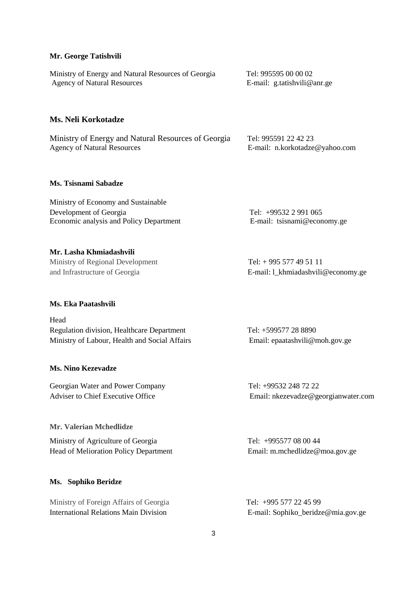#### **Mr. George Tatishvili**

Ministry of Energy and Natural Resources of Georgia Tel: 995595 00 00 02 Agency of Natural Resources E-mail: g.tatishvili@anr.ge

# **Ms. Neli Korkotadze**

Ministry of Energy and Natural Resources of Georgia Tel: 995591 22 42 23 Agency of Natural Resources E-mail: n.korkotadze@yahoo.com

### **Ms. Tsisnami Sabadze**

| Ministry of Economy and Sustainable     |                             |
|-----------------------------------------|-----------------------------|
| Development of Georgia                  | Tel: $+995322991065$        |
| Economic analysis and Policy Department | E-mail: tsisnami@economy.ge |

#### **Mr. Lasha Khmiadashvili**

Ministry of Regional Development Tel: +995 577 49 51 11

#### **Ms. Eka Paatashvili**

Head Regulation division, Healthcare Department Tel: +599577 28 8890 Ministry of Labour, Health and Social Affairs Email: [epaatashvili@moh.gov.ge](mailto:epaatashvili@moh.gov.ge)

#### **Ms. Nino Kezevadze**

Georgian Water and Power Company Tel: +99532 248 72 22

### **Mr. Valerian Mchedlidze**

Ministry of Agriculture of Georgia Tel: +995577 08 00 44 Head of Melioration Policy Department Email[: m.mchedlidze@moa.gov.ge](mailto:m.mchedlidze@moa.gov.ge)

### **Ms. Sophiko Beridze**

Ministry of Foreign Affairs of GeorgiaTel: +995 577 22 45 99 International Relations Main DivisionE-mail: Sophiko\_beridze@mia.gov.ge

and Infrastructure of Georgia E-mail: l\_khmiadashvili@economy.ge

Adviser to Chief Executive Office Email: nkezevadze@georgianwater.com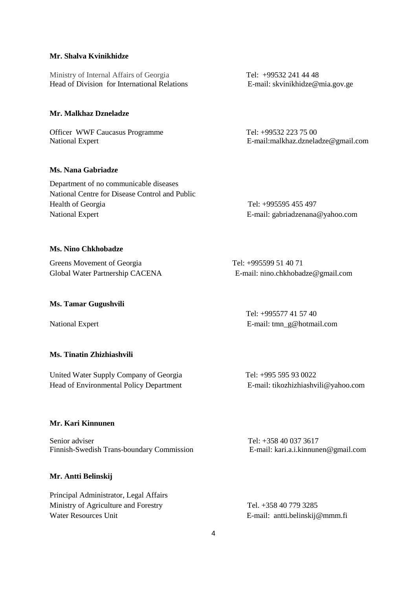### **Mr. Shalva Kvinikhidze**

Ministry of Internal Affairs of Georgia<br>
Head of Division for International Relations<br>
E-mail: skvinikhidze@mia.gov.ge Head of Division for International Relations

## **Mr. Malkhaz Dzneladze**

Officer WWF Caucasus Programme Tel: +99532 223 75 00

### **Ms. Nana Gabriadze**

Department of no communicable diseases National Centre for Disease Control and Public Health of Georgia Tel: +995595 455 497 National Expert E-mail: [gabriadzenana@yahoo.com](mailto:gabriadzenana@yahoo.com)

National Expert E-mail[:malkhaz.dzneladze@gmail.com](mailto:malkhaz.dzneladze@gmail.com)

#### **Ms. Nino Chkhobadze**

Greens Movement of Georgia Tel: +995599 51 40 71

Global Water Partnership CACENA E-mail: nino.chkhobadze@gmail.com

#### **Ms. Tamar Gugushvili**

### **Ms. Tinatin Zhizhiashvili**

United Water Supply Company of Georgia Tel: +995 595 93 0022 Head of Environmental Policy Department E-mail: tikozhizhiashvili@yahoo.com

 Tel: +995577 41 57 40 National Expert **E-mail:** [tmn\\_g@hotmail.com](mailto:tmn_g@hotmail.com)

### **Mr. Kari Kinnunen**

Senior adviser Tel: +358 40 037 3617 Finnish-Swedish Trans-boundary Commission E-mail[: kari.a.i.kinnunen@gmail.com](mailto:kari.a.i.kinnunen@gmail.com)

### **Mr. Antti Belinskij**

Principal Administrator, Legal Affairs Ministry of Agriculture and Forestry Tel. +358 40 779 3285 Water Resources Unit E-mail: antti.belinskij@mmm.fi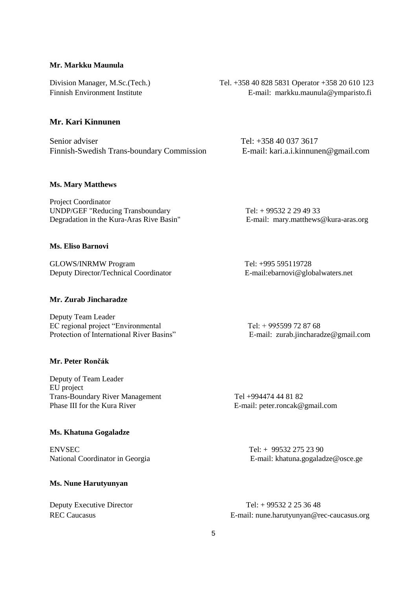### **Mr. Markku Maunula**

## **Mr. Kari Kinnunen**

Senior adviser<br>
Finnish-Swedish Trans-boundary Commission<br>
E-mail: kari.a.i.kinnunen@gmail.com Finnish-Swedish Trans-boundary Commission

# Division Manager, M.Sc.(Tech.) Tel. +358 40 828 5831 Operator +358 20 610 123 Finnish Environment Institute E-mail: markku.maunula@ymparisto.fi

#### **Ms. Mary Matthews**

Project Coordinator UNDP/GEF "Reducing Transboundary Tel: + 99532 2 29 49 33 Degradation in the Kura-Aras Rive Basin" E-mail: [mary.matthews@kura-aras.org](mailto:mary.matthews@kura-aras.org)

### **Ms. Eliso Barnovi**

GLOWS/INRMW Program Tel: +995 595119728 Deputy Director/Technical Coordinator E-mail:ebarnovi@globalwaters.net

### **Mr. Zurab Jincharadze**

Deputy Team Leader EC regional project "Environmental<br>
Protection of International River Basins"<br>
E-mail: zurab.iincharad

#### **Mr. Peter Rončák**

Deputy of Team Leader EU project Trans-Boundary River Management Tel +994474 44 81 82<br>
Phase III for the Kura River<br>
E-mail: peter roncak@

### **Ms. Khatuna Gogaladze**

ENVSEC Tel: + 99532 275 23 90

#### **Ms. Nune Harutyunyan**

E-mail: [zurab.jincharadze@gmail.com](mailto:zurab.jincharadze@gmail.com)

E-mail: [peter.roncak@gmail.com](mailto:peter.roncak@gmail.com)

National Coordinator in Georgia **E-mail:** [khatuna.gogaladze@osce.ge](mailto:khatuna.gogaladze@osce.ge)

Deputy Executive Director Tel: + 99532 2 25 36 48 REC Caucasus **E-mail:** [nune.harutyunyan@rec-caucasus.org](mailto:nune.harutyunyan@rec-caucasus.org)